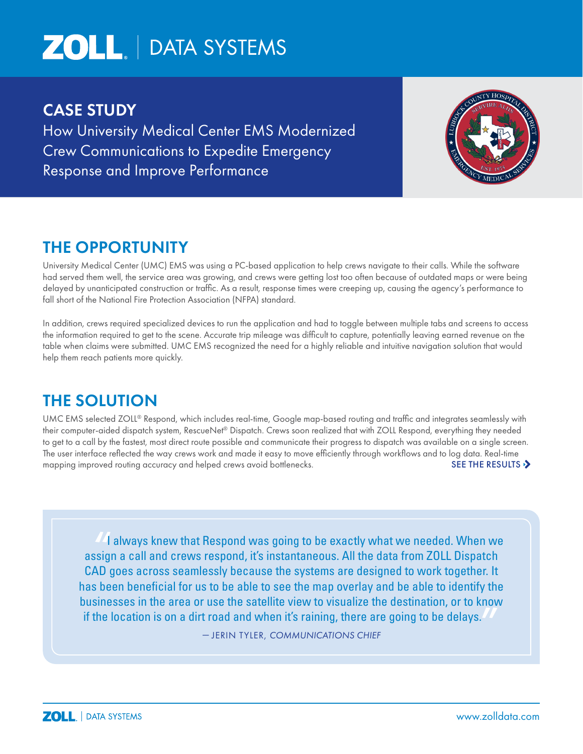# **ZOLL** | DATA SYSTEMS

### CASE STUDY

How University Medical Center EMS Modernized Crew Communications to Expedite Emergency Response and Improve Performance



## THE OPPORTUNITY

University Medical Center (UMC) EMS was using a PC-based application to help crews navigate to their calls. While the software had served them well, the service area was growing, and crews were getting lost too often because of outdated maps or were being delayed by unanticipated construction or traffic. As a result, response times were creeping up, causing the agency's performance to fall short of the National Fire Protection Association (NFPA) standard.

In addition, crews required specialized devices to run the application and had to toggle between multiple tabs and screens to access the information required to get to the scene. Accurate trip mileage was difficult to capture, potentially leaving earned revenue on the table when claims were submitted. UMC EMS recognized the need for a highly reliable and intuitive navigation solution that would help them reach patients more quickly.

## THE SOLUTION

UMC EMS selected ZOLL® Respond, which includes real-time, Google map-based routing and traffic and integrates seamlessly with their computer-aided dispatch system, RescueNet® Dispatch. Crews soon realized that with ZOLL Respond, everything they needed to get to a call by the fastest, most direct route possible and communicate their progress to dispatch was available on a single screen. The user interface reflected the way crews work and made it easy to move efficiently through workflows and to log data. Real-time mapping improved routing accuracy and helped crews avoid bottlenecks.  $\blacksquare$  SEE THE RESULTS  $\blacktriangleright$ 

""I always knew that Respond was going to be exactly what we needed. When we assign a call and crews respond, it's instantaneous. All the data from ZOLL Dispatch CAD goes across seamlessly because the systems are designed to work together. It has been beneficial for us to be able to see the map overlay and be able to identify the businesses in the area or use the satellite view to visualize the destination, or to know if the location is on a dirt road and when it's raining, there are going to be delays. "<br>"<br>"<br>"

— JERIN TYLER, *COMMUNICATIONS CHIEF*